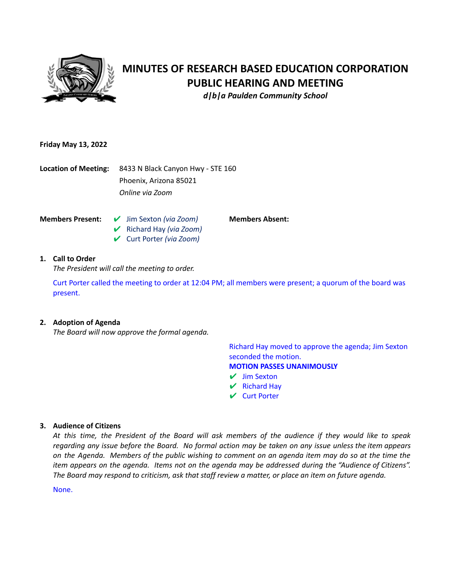

# **MINUTES OF RESEARCH BASED EDUCATION CORPORATION PUBLIC HEARING AND MEETING**

*d|b|a Paulden Community School*

**Members Absent:**

#### **Friday May 13, 2022**

**Location of Meeting:** 8433 N Black Canyon Hwy - STE 160 Phoenix, Arizona 85021 *Online via Zoom*

- **Members Present:** ✔ Jim Sexton *(via Zoom)* ✔ Richard Hay *(via Zoom)*
	- ✔ Curt Porter *(via Zoom)*

## **1. Call to Order**

*The President will call the meeting to order.*

Curt Porter called the meeting to order at 12:04 PM; all members were present; a quorum of the board was present.

## **2. Adoption of Agenda**

*The Board will now approve the formal agenda.*

Richard Hay moved to approve the agenda; Jim Sexton seconded the motion. **MOTION PASSES UNANIMOUSLY**

- ✔ Jim Sexton
- $\vee$  Richard Hay
- ✔ Curt Porter

#### **3. Audience of Citizens**

At this time, the President of the Board will ask members of the audience if they would like to speak regarding any issue before the Board. No formal action may be taken on any issue unless the item appears on the Agenda. Members of the public wishing to comment on an agenda item may do so at the time the item appears on the agenda. Items not on the agenda may be addressed during the "Audience of Citizens". The Board may respond to criticism, ask that staff review a matter, or place an item on future agenda.

None.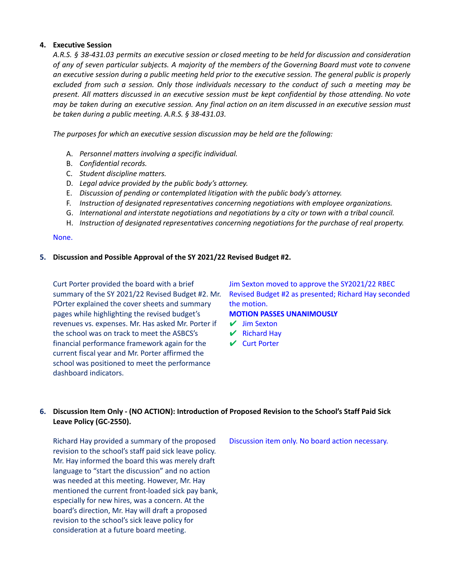#### **4. Executive Session**

A.R.S. § 38-431.03 permits an executive session or closed meeting to be held for discussion and consideration of any of seven particular subjects. A majority of the members of the Governing Board must vote to convene an executive session during a public meeting held prior to the executive session. The general public is properly excluded from such a session. Only those individuals necessary to the conduct of such a meeting may be present. All matters discussed in an executive session must be kept confidential by those attending. No vote may be taken during an executive session. Any final action on an item discussed in an executive session must *be taken during a public meeting. A.R.S. § 38-431.03.*

*The purposes for which an executive session discussion may be held are the following:*

- A. *Personnel matters involving a specific individual.*
- B. *Confidential records.*
- C. *Student discipline matters.*
- D. *Legal advice provided by the public body's attorney.*
- E. *Discussion of pending or contemplated litigation with the public body's attorney.*
- F. *Instruction of designated representatives concerning negotiations with employee organizations.*
- G. *International and interstate negotiations and negotiations by a city or town with a tribal council.*
- H. *Instruction of designated representatives concerning negotiations for the purchase of real property.*

#### None.

#### **5. Discussion and Possible Approval of the SY 2021/22 Revised Budget #2.**

Curt Porter provided the board with a brief summary of the SY 2021/22 Revised Budget #2. Mr. POrter explained the cover sheets and summary pages while highlighting the revised budget's revenues vs. expenses. Mr. Has asked Mr. Porter if the school was on track to meet the ASBCS's financial performance framework again for the current fiscal year and Mr. Porter affirmed the school was positioned to meet the performance dashboard indicators.

Jim Sexton moved to approve the SY2021/22 RBEC Revised Budget #2 as presented; Richard Hay seconded the motion.

**MOTION PASSES UNANIMOUSLY**

- ✔ Jim Sexton
- $\mathsf{V}$  Richard Hay
- ✔ Curt Porter

# **6. Discussion Item Only - (NO ACTION): Introduction of Proposed Revision to the School's Staff Paid Sick Leave Policy (GC-2550).**

Richard Hay provided a summary of the proposed revision to the school's staff paid sick leave policy. Mr. Hay informed the board this was merely draft language to "start the discussion" and no action was needed at this meeting. However, Mr. Hay mentioned the current front-loaded sick pay bank, especially for new hires, was a concern. At the board's direction, Mr. Hay will draft a proposed revision to the school's sick leave policy for consideration at a future board meeting.

Discussion item only. No board action necessary.